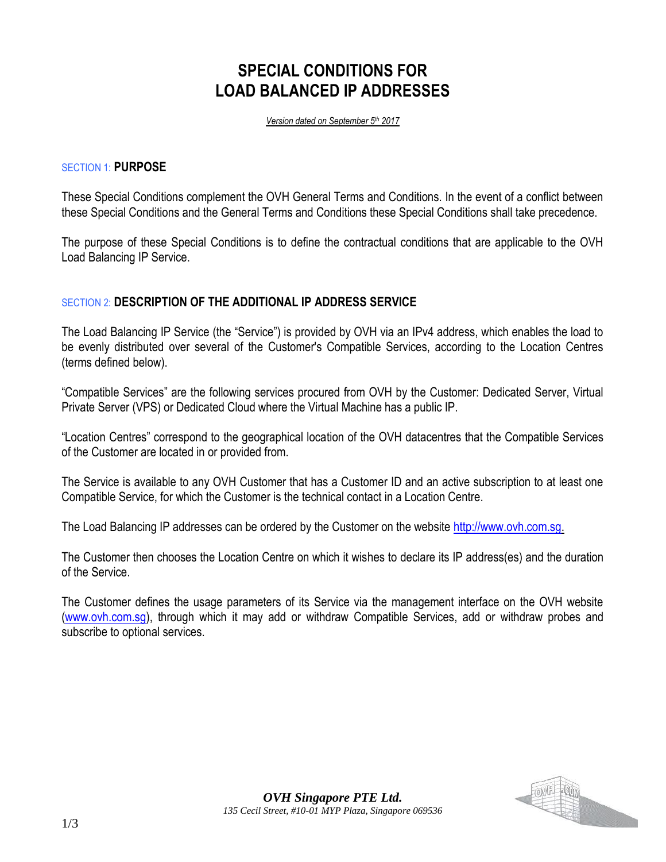# **SPECIAL CONDITIONS FOR LOAD BALANCED IP ADDRESSES**

*Version dated on September 5th 2017*

#### SECTION 1: **PURPOSE**

These Special Conditions complement the OVH General Terms and Conditions. In the event of a conflict between these Special Conditions and the General Terms and Conditions these Special Conditions shall take precedence.

The purpose of these Special Conditions is to define the contractual conditions that are applicable to the OVH Load Balancing IP Service.

## SECTION 2: **DESCRIPTION OF THE ADDITIONAL IP ADDRESS SERVICE**

The Load Balancing IP Service (the "Service") is provided by OVH via an IPv4 address, which enables the load to be evenly distributed over several of the Customer's Compatible Services, according to the Location Centres (terms defined below).

"Compatible Services" are the following services procured from OVH by the Customer: Dedicated Server, Virtual Private Server (VPS) or Dedicated Cloud where the Virtual Machine has a public IP.

"Location Centres" correspond to the geographical location of the OVH datacentres that the Compatible Services of the Customer are located in or provided from.

The Service is available to any OVH Customer that has a Customer ID and an active subscription to at least one Compatible Service, for which the Customer is the technical contact in a Location Centre.

The Load Balancing IP addresses can be ordered by the Customer on the website [http://www.ovh.com.sg.](http://www.ovh.com.sg/)

The Customer then chooses the Location Centre on which it wishes to declare its IP address(es) and the duration of the Service.

The Customer defines the usage parameters of its Service via the management interface on the OVH website [\(www.ovh.com.sg\)](http://www.ovh.com.sg/), through which it may add or withdraw Compatible Services, add or withdraw probes and subscribe to optional services.

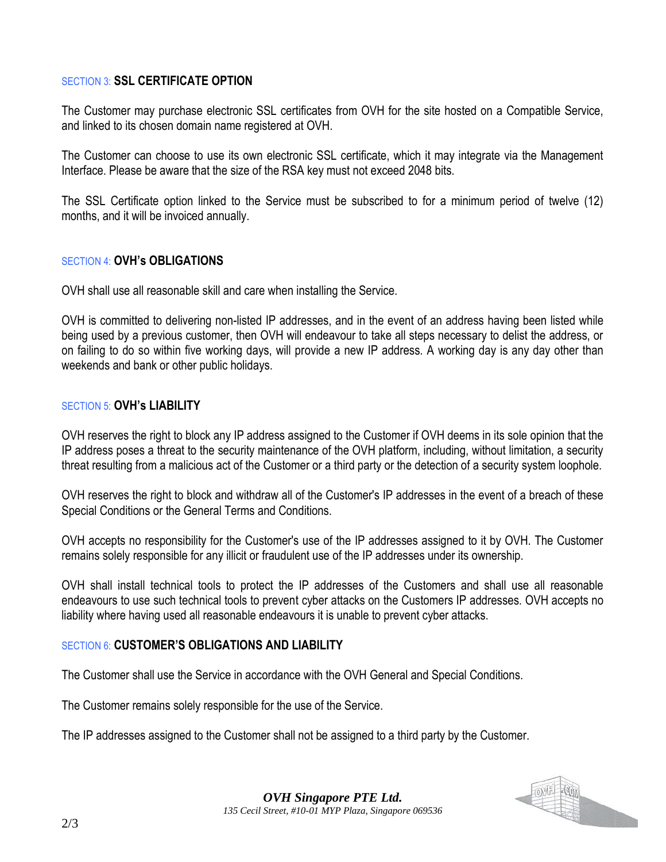## SECTION 3: **SSL CERTIFICATE OPTION**

The Customer may purchase electronic SSL certificates from OVH for the site hosted on a Compatible Service, and linked to its chosen domain name registered at OVH.

The Customer can choose to use its own electronic SSL certificate, which it may integrate via the Management Interface. Please be aware that the size of the RSA key must not exceed 2048 bits.

The SSL Certificate option linked to the Service must be subscribed to for a minimum period of twelve (12) months, and it will be invoiced annually.

### SECTION 4: **OVH's OBLIGATIONS**

OVH shall use all reasonable skill and care when installing the Service.

OVH is committed to delivering non-listed IP addresses, and in the event of an address having been listed while being used by a previous customer, then OVH will endeavour to take all steps necessary to delist the address, or on failing to do so within five working days, will provide a new IP address. A working day is any day other than weekends and bank or other public holidays.

## SECTION 5: **OVH's LIABILITY**

OVH reserves the right to block any IP address assigned to the Customer if OVH deems in its sole opinion that the IP address poses a threat to the security maintenance of the OVH platform, including, without limitation, a security threat resulting from a malicious act of the Customer or a third party or the detection of a security system loophole.

OVH reserves the right to block and withdraw all of the Customer's IP addresses in the event of a breach of these Special Conditions or the General Terms and Conditions.

OVH accepts no responsibility for the Customer's use of the IP addresses assigned to it by OVH. The Customer remains solely responsible for any illicit or fraudulent use of the IP addresses under its ownership.

OVH shall install technical tools to protect the IP addresses of the Customers and shall use all reasonable endeavours to use such technical tools to prevent cyber attacks on the Customers IP addresses. OVH accepts no liability where having used all reasonable endeavours it is unable to prevent cyber attacks.

## SECTION 6: **CUSTOMER'S OBLIGATIONS AND LIABILITY**

The Customer shall use the Service in accordance with the OVH General and Special Conditions.

The Customer remains solely responsible for the use of the Service.

The IP addresses assigned to the Customer shall not be assigned to a third party by the Customer.